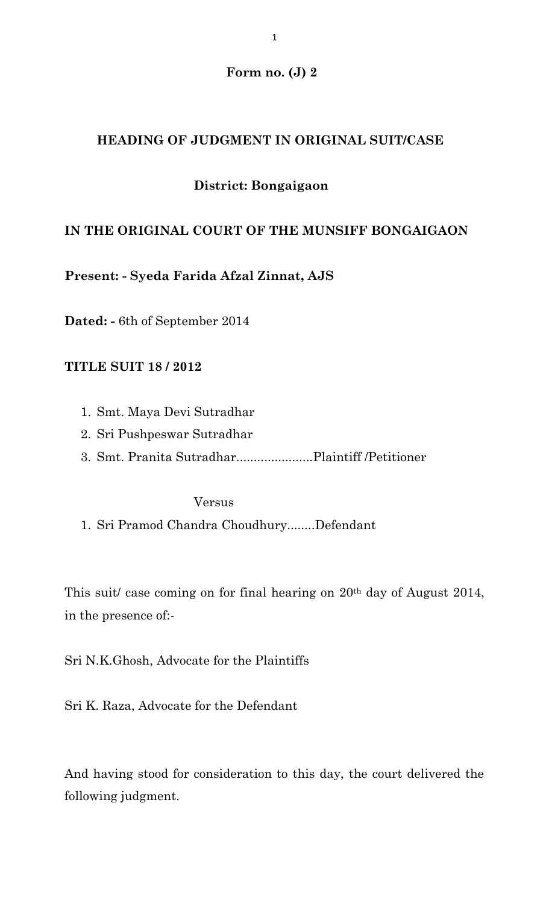### **Form no. (J) 2**

### **HEADING OF JUDGMENT IN ORIGINAL SUIT/CASE**

## **District: Bongaigaon**

## **IN THE ORIGINAL COURT OF THE MUNSIFF BONGAIGAON**

**Present: - Syeda Farida Afzal Zinnat, AJS**

**Dated: -** 6th of September 2014

### **TITLE SUIT 18 / 2012**

- 1. Smt. Maya Devi Sutradhar
- 2. Sri Pushpeswar Sutradhar
- 3. Smt. Pranita Sutradhar......................Plaintiff /Petitioner

Versus

1. Sri Pramod Chandra Choudhury........Defendant

This suit/ case coming on for final hearing on 20th day of August 2014, in the presence of:-

Sri N.K.Ghosh, Advocate for the Plaintiffs

Sri K. Raza, Advocate for the Defendant

And having stood for consideration to this day, the court delivered the following judgment.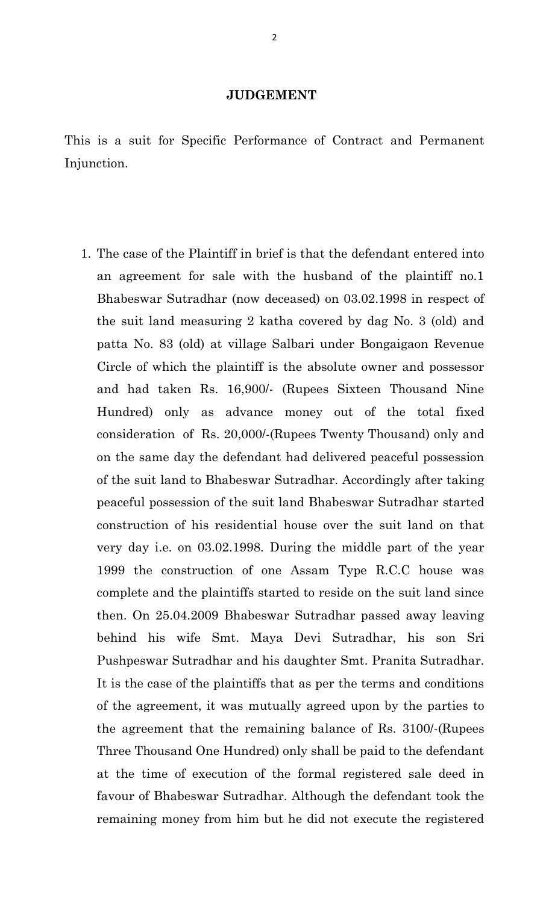#### **JUDGEMENT**

This is a suit for Specific Performance of Contract and Permanent Injunction.

1. The case of the Plaintiff in brief is that the defendant entered into an agreement for sale with the husband of the plaintiff no.1 Bhabeswar Sutradhar (now deceased) on 03.02.1998 in respect of the suit land measuring 2 katha covered by dag No. 3 (old) and patta No. 83 (old) at village Salbari under Bongaigaon Revenue Circle of which the plaintiff is the absolute owner and possessor and had taken Rs. 16,900/- (Rupees Sixteen Thousand Nine Hundred) only as advance money out of the total fixed consideration of Rs. 20,000/-(Rupees Twenty Thousand) only and on the same day the defendant had delivered peaceful possession of the suit land to Bhabeswar Sutradhar. Accordingly after taking peaceful possession of the suit land Bhabeswar Sutradhar started construction of his residential house over the suit land on that very day i.e. on 03.02.1998. During the middle part of the year 1999 the construction of one Assam Type R.C.C house was complete and the plaintiffs started to reside on the suit land since then. On 25.04.2009 Bhabeswar Sutradhar passed away leaving behind his wife Smt. Maya Devi Sutradhar, his son Sri Pushpeswar Sutradhar and his daughter Smt. Pranita Sutradhar. It is the case of the plaintiffs that as per the terms and conditions of the agreement, it was mutually agreed upon by the parties to the agreement that the remaining balance of Rs. 3100/-(Rupees Three Thousand One Hundred) only shall be paid to the defendant at the time of execution of the formal registered sale deed in favour of Bhabeswar Sutradhar. Although the defendant took the remaining money from him but he did not execute the registered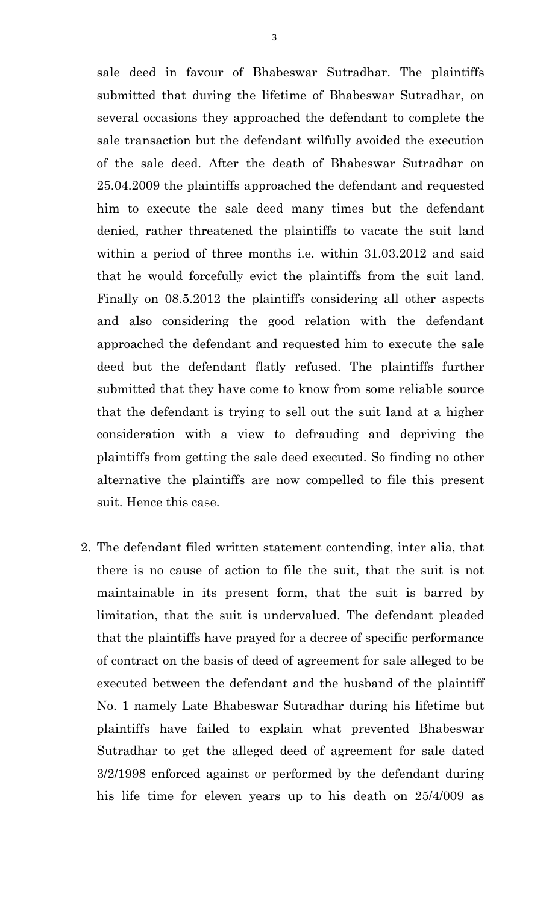sale deed in favour of Bhabeswar Sutradhar. The plaintiffs submitted that during the lifetime of Bhabeswar Sutradhar, on several occasions they approached the defendant to complete the sale transaction but the defendant wilfully avoided the execution of the sale deed. After the death of Bhabeswar Sutradhar on 25.04.2009 the plaintiffs approached the defendant and requested him to execute the sale deed many times but the defendant denied, rather threatened the plaintiffs to vacate the suit land within a period of three months i.e. within 31.03.2012 and said that he would forcefully evict the plaintiffs from the suit land. Finally on 08.5.2012 the plaintiffs considering all other aspects and also considering the good relation with the defendant approached the defendant and requested him to execute the sale deed but the defendant flatly refused. The plaintiffs further submitted that they have come to know from some reliable source that the defendant is trying to sell out the suit land at a higher consideration with a view to defrauding and depriving the plaintiffs from getting the sale deed executed. So finding no other alternative the plaintiffs are now compelled to file this present suit. Hence this case.

2. The defendant filed written statement contending, inter alia, that there is no cause of action to file the suit, that the suit is not maintainable in its present form, that the suit is barred by limitation, that the suit is undervalued. The defendant pleaded that the plaintiffs have prayed for a decree of specific performance of contract on the basis of deed of agreement for sale alleged to be executed between the defendant and the husband of the plaintiff No. 1 namely Late Bhabeswar Sutradhar during his lifetime but plaintiffs have failed to explain what prevented Bhabeswar Sutradhar to get the alleged deed of agreement for sale dated 3/2/1998 enforced against or performed by the defendant during his life time for eleven years up to his death on 25/4/009 as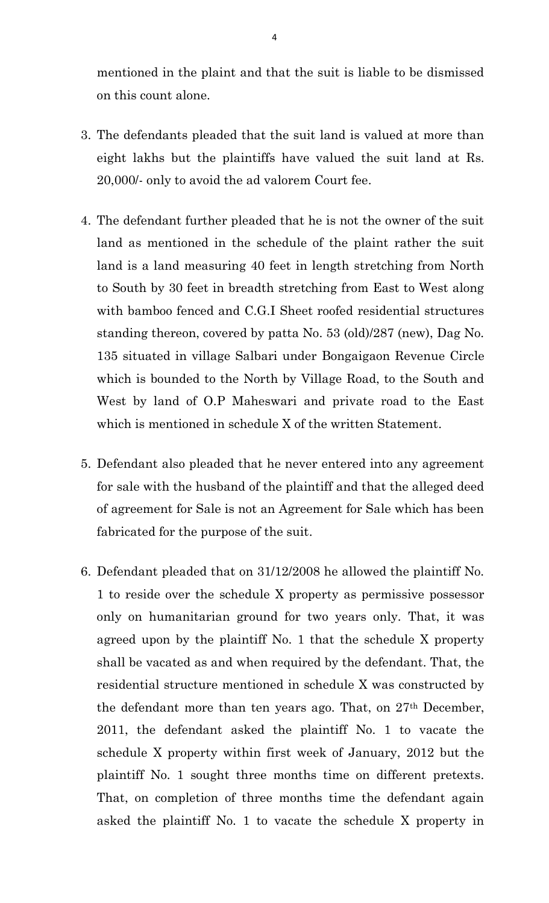mentioned in the plaint and that the suit is liable to be dismissed on this count alone.

- 3. The defendants pleaded that the suit land is valued at more than eight lakhs but the plaintiffs have valued the suit land at Rs. 20,000/- only to avoid the ad valorem Court fee.
- 4. The defendant further pleaded that he is not the owner of the suit land as mentioned in the schedule of the plaint rather the suit land is a land measuring 40 feet in length stretching from North to South by 30 feet in breadth stretching from East to West along with bamboo fenced and C.G.I Sheet roofed residential structures standing thereon, covered by patta No. 53 (old)/287 (new), Dag No. 135 situated in village Salbari under Bongaigaon Revenue Circle which is bounded to the North by Village Road, to the South and West by land of O.P Maheswari and private road to the East which is mentioned in schedule X of the written Statement.
- 5. Defendant also pleaded that he never entered into any agreement for sale with the husband of the plaintiff and that the alleged deed of agreement for Sale is not an Agreement for Sale which has been fabricated for the purpose of the suit.
- 6. Defendant pleaded that on 31/12/2008 he allowed the plaintiff No. 1 to reside over the schedule X property as permissive possessor only on humanitarian ground for two years only. That, it was agreed upon by the plaintiff No. 1 that the schedule X property shall be vacated as and when required by the defendant. That, the residential structure mentioned in schedule X was constructed by the defendant more than ten years ago. That, on 27th December, 2011, the defendant asked the plaintiff No. 1 to vacate the schedule X property within first week of January, 2012 but the plaintiff No. 1 sought three months time on different pretexts. That, on completion of three months time the defendant again asked the plaintiff No. 1 to vacate the schedule X property in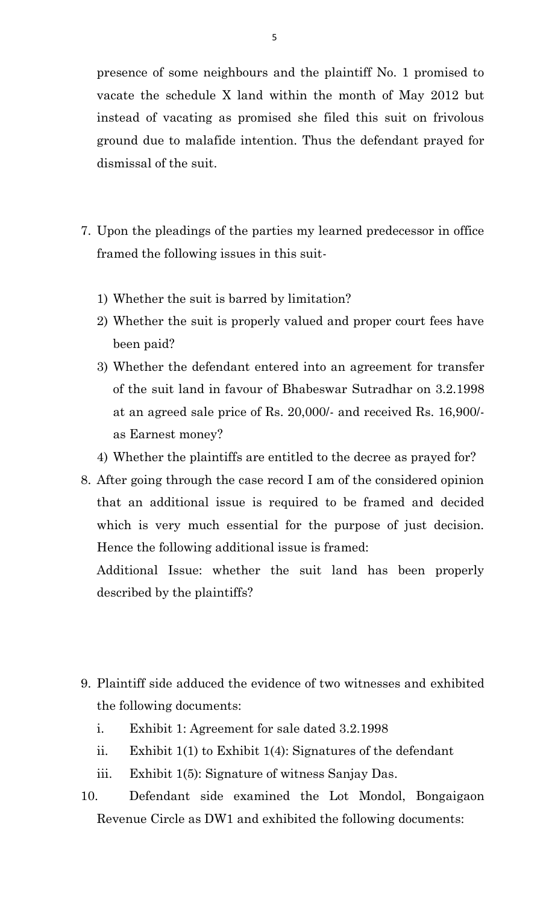presence of some neighbours and the plaintiff No. 1 promised to vacate the schedule X land within the month of May 2012 but instead of vacating as promised she filed this suit on frivolous ground due to malafide intention. Thus the defendant prayed for dismissal of the suit.

- 7. Upon the pleadings of the parties my learned predecessor in office framed the following issues in this suit-
	- 1) Whether the suit is barred by limitation?
	- 2) Whether the suit is properly valued and proper court fees have been paid?
	- 3) Whether the defendant entered into an agreement for transfer of the suit land in favour of Bhabeswar Sutradhar on 3.2.1998 at an agreed sale price of Rs. 20,000/- and received Rs. 16,900/ as Earnest money?
	- 4) Whether the plaintiffs are entitled to the decree as prayed for?
- 8. After going through the case record I am of the considered opinion that an additional issue is required to be framed and decided which is very much essential for the purpose of just decision. Hence the following additional issue is framed:

Additional Issue: whether the suit land has been properly described by the plaintiffs?

- 9. Plaintiff side adduced the evidence of two witnesses and exhibited the following documents:
	- i. Exhibit 1: Agreement for sale dated 3.2.1998
	- ii. Exhibit 1(1) to Exhibit 1(4): Signatures of the defendant
	- iii. Exhibit 1(5): Signature of witness Sanjay Das.
- 10. Defendant side examined the Lot Mondol, Bongaigaon Revenue Circle as DW1 and exhibited the following documents: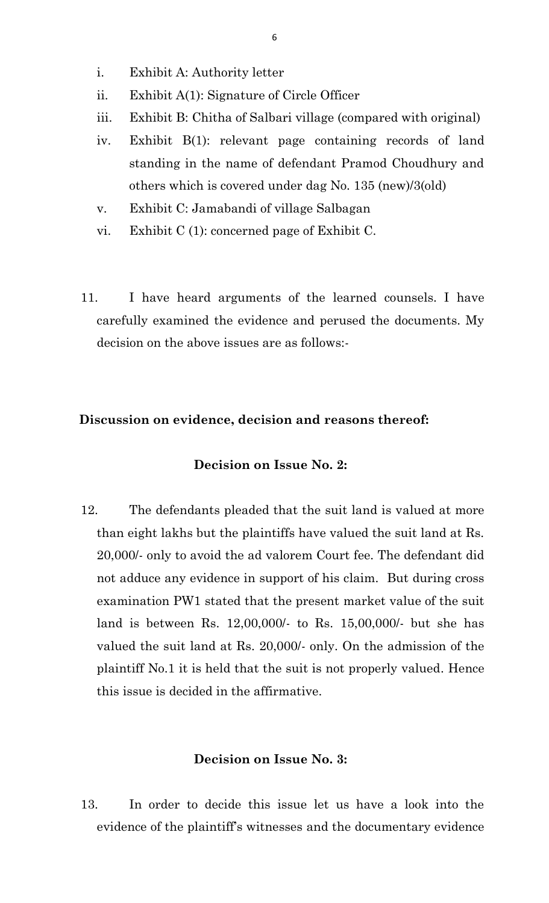- i. Exhibit A: Authority letter
- ii. Exhibit A(1): Signature of Circle Officer
- iii. Exhibit B: Chitha of Salbari village (compared with original)
- iv. Exhibit B(1): relevant page containing records of land standing in the name of defendant Pramod Choudhury and others which is covered under dag No. 135 (new)/3(old)
- v. Exhibit C: Jamabandi of village Salbagan
- vi. Exhibit C (1): concerned page of Exhibit C.
- 11. I have heard arguments of the learned counsels. I have carefully examined the evidence and perused the documents. My decision on the above issues are as follows:-

### **Discussion on evidence, decision and reasons thereof:**

#### **Decision on Issue No. 2:**

12. The defendants pleaded that the suit land is valued at more than eight lakhs but the plaintiffs have valued the suit land at Rs. 20,000/- only to avoid the ad valorem Court fee. The defendant did not adduce any evidence in support of his claim. But during cross examination PW1 stated that the present market value of the suit land is between Rs. 12,00,000/- to Rs. 15,00,000/- but she has valued the suit land at Rs. 20,000/- only. On the admission of the plaintiff No.1 it is held that the suit is not properly valued. Hence this issue is decided in the affirmative.

#### **Decision on Issue No. 3:**

13. In order to decide this issue let us have a look into the evidence of the plaintiff's witnesses and the documentary evidence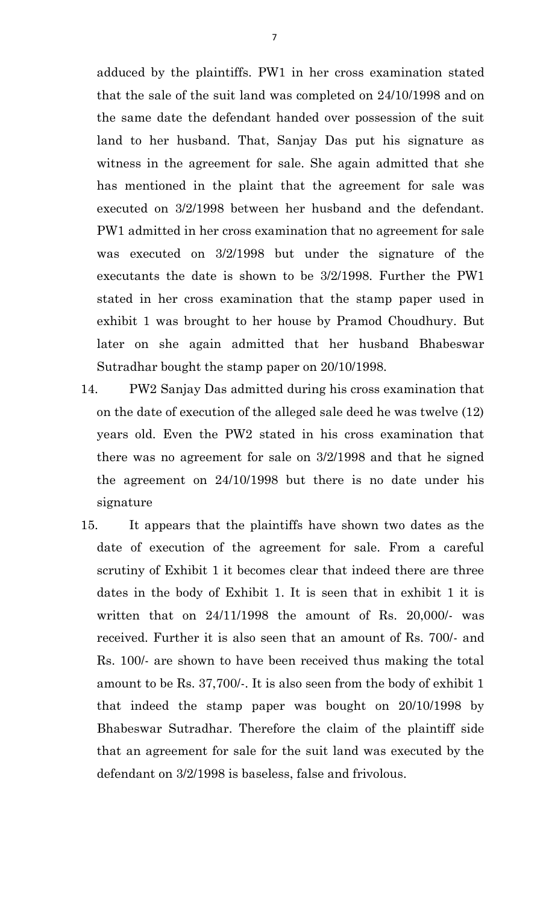adduced by the plaintiffs. PW1 in her cross examination stated that the sale of the suit land was completed on 24/10/1998 and on the same date the defendant handed over possession of the suit land to her husband. That, Sanjay Das put his signature as witness in the agreement for sale. She again admitted that she has mentioned in the plaint that the agreement for sale was executed on 3/2/1998 between her husband and the defendant. PW1 admitted in her cross examination that no agreement for sale was executed on 3/2/1998 but under the signature of the executants the date is shown to be 3/2/1998. Further the PW1 stated in her cross examination that the stamp paper used in exhibit 1 was brought to her house by Pramod Choudhury. But later on she again admitted that her husband Bhabeswar Sutradhar bought the stamp paper on 20/10/1998.

- 14. PW2 Sanjay Das admitted during his cross examination that on the date of execution of the alleged sale deed he was twelve (12) years old. Even the PW2 stated in his cross examination that there was no agreement for sale on 3/2/1998 and that he signed the agreement on 24/10/1998 but there is no date under his signature
- 15. It appears that the plaintiffs have shown two dates as the date of execution of the agreement for sale. From a careful scrutiny of Exhibit 1 it becomes clear that indeed there are three dates in the body of Exhibit 1. It is seen that in exhibit 1 it is written that on 24/11/1998 the amount of Rs. 20,000/- was received. Further it is also seen that an amount of Rs. 700/- and Rs. 100/- are shown to have been received thus making the total amount to be Rs. 37,700/-. It is also seen from the body of exhibit 1 that indeed the stamp paper was bought on 20/10/1998 by Bhabeswar Sutradhar. Therefore the claim of the plaintiff side that an agreement for sale for the suit land was executed by the defendant on 3/2/1998 is baseless, false and frivolous.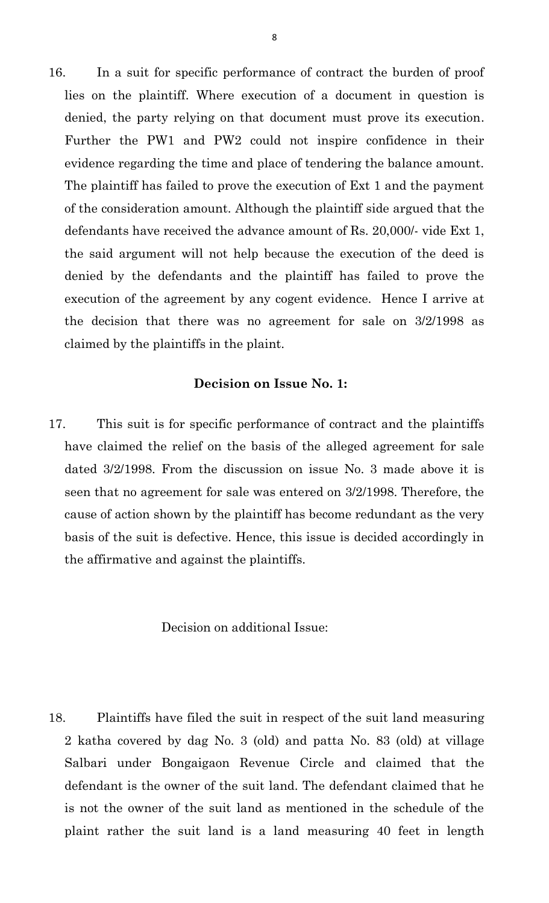16. In a suit for specific performance of contract the burden of proof lies on the plaintiff. Where execution of a document in question is denied, the party relying on that document must prove its execution. Further the PW1 and PW2 could not inspire confidence in their evidence regarding the time and place of tendering the balance amount. The plaintiff has failed to prove the execution of Ext 1 and the payment of the consideration amount. Although the plaintiff side argued that the defendants have received the advance amount of Rs. 20,000/- vide Ext 1, the said argument will not help because the execution of the deed is denied by the defendants and the plaintiff has failed to prove the execution of the agreement by any cogent evidence. Hence I arrive at the decision that there was no agreement for sale on 3/2/1998 as claimed by the plaintiffs in the plaint.

#### **Decision on Issue No. 1:**

17. This suit is for specific performance of contract and the plaintiffs have claimed the relief on the basis of the alleged agreement for sale dated 3/2/1998. From the discussion on issue No. 3 made above it is seen that no agreement for sale was entered on 3/2/1998. Therefore, the cause of action shown by the plaintiff has become redundant as the very basis of the suit is defective. Hence, this issue is decided accordingly in the affirmative and against the plaintiffs.

Decision on additional Issue:

18. Plaintiffs have filed the suit in respect of the suit land measuring 2 katha covered by dag No. 3 (old) and patta No. 83 (old) at village Salbari under Bongaigaon Revenue Circle and claimed that the defendant is the owner of the suit land. The defendant claimed that he is not the owner of the suit land as mentioned in the schedule of the plaint rather the suit land is a land measuring 40 feet in length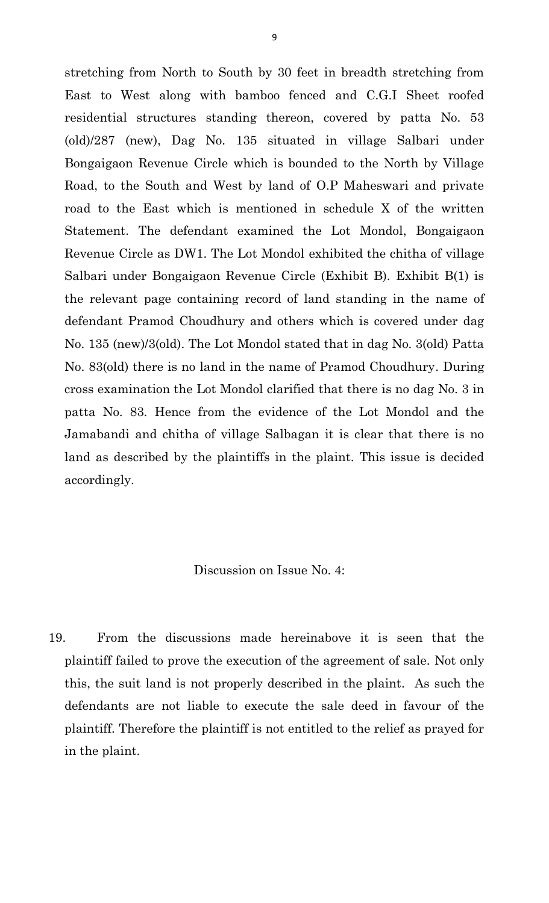stretching from North to South by 30 feet in breadth stretching from East to West along with bamboo fenced and C.G.I Sheet roofed residential structures standing thereon, covered by patta No. 53 (old)/287 (new), Dag No. 135 situated in village Salbari under Bongaigaon Revenue Circle which is bounded to the North by Village Road, to the South and West by land of O.P Maheswari and private road to the East which is mentioned in schedule X of the written Statement. The defendant examined the Lot Mondol, Bongaigaon Revenue Circle as DW1. The Lot Mondol exhibited the chitha of village Salbari under Bongaigaon Revenue Circle (Exhibit B). Exhibit B(1) is the relevant page containing record of land standing in the name of defendant Pramod Choudhury and others which is covered under dag No. 135 (new)/3(old). The Lot Mondol stated that in dag No. 3(old) Patta No. 83(old) there is no land in the name of Pramod Choudhury. During cross examination the Lot Mondol clarified that there is no dag No. 3 in patta No. 83. Hence from the evidence of the Lot Mondol and the Jamabandi and chitha of village Salbagan it is clear that there is no land as described by the plaintiffs in the plaint. This issue is decided accordingly.

Discussion on Issue No. 4:

19. From the discussions made hereinabove it is seen that the plaintiff failed to prove the execution of the agreement of sale. Not only this, the suit land is not properly described in the plaint. As such the defendants are not liable to execute the sale deed in favour of the plaintiff. Therefore the plaintiff is not entitled to the relief as prayed for in the plaint.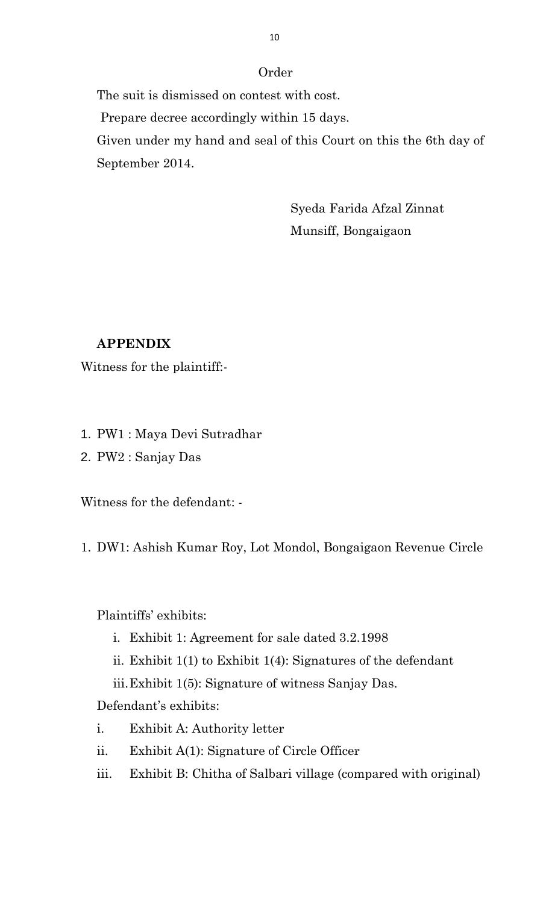## Order

The suit is dismissed on contest with cost.

Prepare decree accordingly within 15 days.

Given under my hand and seal of this Court on this the 6th day of September 2014.

> Syeda Farida Afzal Zinnat Munsiff, Bongaigaon

## **APPENDIX**

Witness for the plaintiff:-

- 1. PW1 : Maya Devi Sutradhar
- 2. PW2 : Sanjay Das

Witness for the defendant: -

1. DW1: Ashish Kumar Roy, Lot Mondol, Bongaigaon Revenue Circle

# Plaintiffs' exhibits:

- i. Exhibit 1: Agreement for sale dated 3.2.1998
- ii. Exhibit 1(1) to Exhibit 1(4): Signatures of the defendant
- iii.Exhibit 1(5): Signature of witness Sanjay Das.

Defendant's exhibits:

- i. Exhibit A: Authority letter
- ii. Exhibit A(1): Signature of Circle Officer
- iii. Exhibit B: Chitha of Salbari village (compared with original)